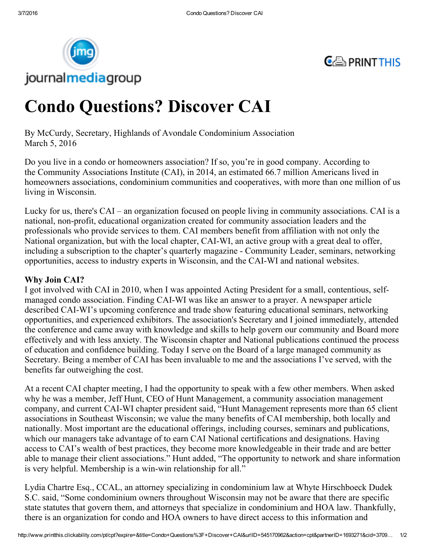



# Condo Questions? Discover CAI

By McCurdy, Secretary, Highlands of Avondale Condominium Association March 5, 2016

Do you live in a condo or homeowners association? If so, you're in good company. According to the Community Associations Institute (CAI), in 2014, an estimated 66.7 million Americans lived in homeowners associations, condominium communities and cooperatives, with more than one million of us living in Wisconsin.

Lucky for us, there's CAI – an organization focused on people living in community associations. CAI is a national, non-profit, educational organization created for community association leaders and the professionals who provide services to them. CAI members benefit from affiliation with not only the National organization, but with the local chapter, CAIWI, an active group with a great deal to offer, including a subscription to the chapter's quarterly magazine Community Leader, seminars, networking opportunities, access to industry experts in Wisconsin, and the CAIWI and national websites.

# Why Join CAI?

I got involved with CAI in 2010, when I was appointed Acting President for a small, contentious, selfmanaged condo association. Finding CAI-WI was like an answer to a prayer. A newspaper article described CAIWI's upcoming conference and trade show featuring educational seminars, networking opportunities, and experienced exhibitors. The association's Secretary and I joined immediately, attended the conference and came away with knowledge and skills to help govern our community and Board more effectively and with less anxiety. The Wisconsin chapter and National publications continued the process of education and confidence building. Today I serve on the Board of a large managed community as Secretary. Being a member of CAI has been invaluable to me and the associations I've served, with the benefits far outweighing the cost.

At a recent CAI chapter meeting, I had the opportunity to speak with a few other members. When asked why he was a member, Jeff Hunt, CEO of Hunt Management, a community association management company, and current CAIWI chapter president said, "Hunt Management represents more than 65 client associations in Southeast Wisconsin; we value the many benefits of CAI membership, both locally and nationally. Most important are the educational offerings, including courses, seminars and publications, which our managers take advantage of to earn CAI National certifications and designations. Having access to CAI's wealth of best practices, they become more knowledgeable in their trade and are better able to manage their client associations." Hunt added, "The opportunity to network and share information is very helpful. Membership is a win-win relationship for all."

Lydia Chartre Esq., CCAL, an attorney specializing in condominium law at Whyte Hirschboeck Dudek S.C. said, "Some condominium owners throughout Wisconsin may not be aware that there are specific state statutes that govern them, and attorneys that specialize in condominium and HOA law. Thankfully, there is an organization for condo and HOA owners to have direct access to this information and